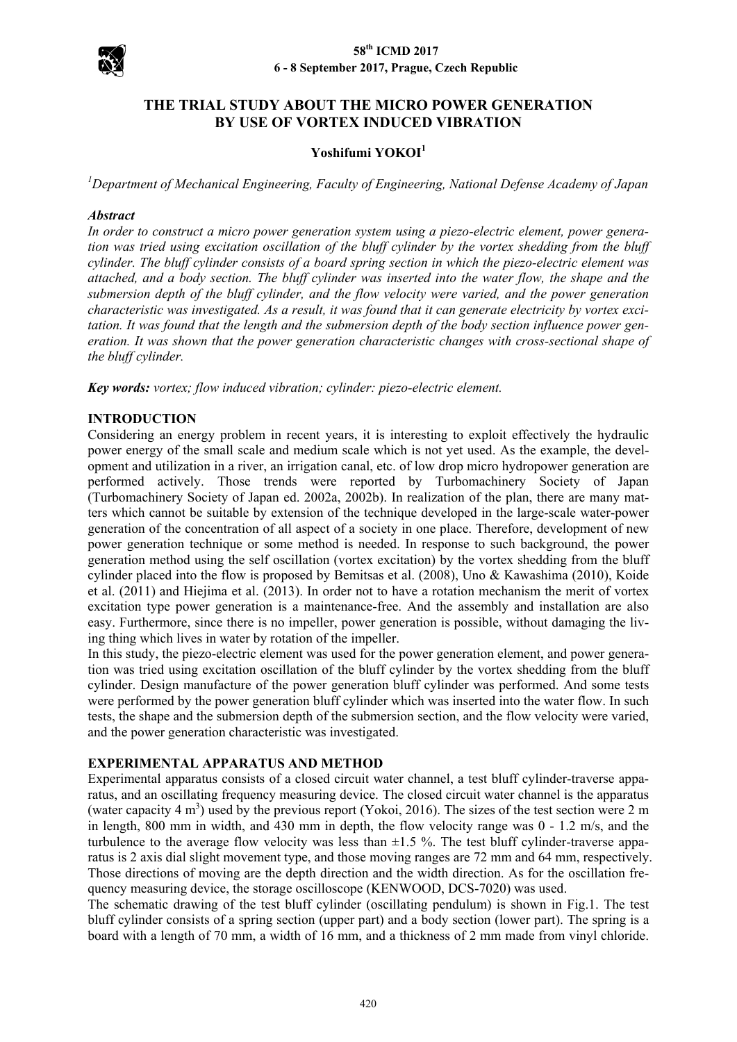

### **58th ICMD 2017 6 - 8 September 2017, Prague, Czech Republic**

# **THE TRIAL STUDY ABOUT THE MICRO POWER GENERATION BY USE OF VORTEX INDUCED VIBRATION**

## Yoshifumi YOKOI<sup>1</sup>

*1 Department of Mechanical Engineering, Faculty of Engineering, National Defense Academy of Japan* 

#### *Abstract*

*In order to construct a micro power generation system using a piezo-electric element, power generation was tried using excitation oscillation of the bluff cylinder by the vortex shedding from the bluff cylinder. The bluff cylinder consists of a board spring section in which the piezo-electric element was attached, and a body section. The bluff cylinder was inserted into the water flow, the shape and the submersion depth of the bluff cylinder, and the flow velocity were varied, and the power generation characteristic was investigated. As a result, it was found that it can generate electricity by vortex excitation. It was found that the length and the submersion depth of the body section influence power generation. It was shown that the power generation characteristic changes with cross-sectional shape of the bluff cylinder.* 

*Key words: vortex; flow induced vibration; cylinder: piezo-electric element.* 

### **INTRODUCTION**

Considering an energy problem in recent years, it is interesting to exploit effectively the hydraulic power energy of the small scale and medium scale which is not yet used. As the example, the development and utilization in a river, an irrigation canal, etc. of low drop micro hydropower generation are performed actively. Those trends were reported by Turbomachinery Society of Japan (Turbomachinery Society of Japan ed. 2002a, 2002b). In realization of the plan, there are many matters which cannot be suitable by extension of the technique developed in the large-scale water-power generation of the concentration of all aspect of a society in one place. Therefore, development of new power generation technique or some method is needed. In response to such background, the power generation method using the self oscillation (vortex excitation) by the vortex shedding from the bluff cylinder placed into the flow is proposed by Bemitsas et al. (2008), Uno & Kawashima (2010), Koide et al. (2011) and Hiejima et al. (2013). In order not to have a rotation mechanism the merit of vortex excitation type power generation is a maintenance-free. And the assembly and installation are also easy. Furthermore, since there is no impeller, power generation is possible, without damaging the living thing which lives in water by rotation of the impeller.

In this study, the piezo-electric element was used for the power generation element, and power generation was tried using excitation oscillation of the bluff cylinder by the vortex shedding from the bluff cylinder. Design manufacture of the power generation bluff cylinder was performed. And some tests were performed by the power generation bluff cylinder which was inserted into the water flow. In such tests, the shape and the submersion depth of the submersion section, and the flow velocity were varied, and the power generation characteristic was investigated.

### **EXPERIMENTAL APPARATUS AND METHOD**

Experimental apparatus consists of a closed circuit water channel, a test bluff cylinder-traverse apparatus, and an oscillating frequency measuring device. The closed circuit water channel is the apparatus (water capacity 4  $m<sup>3</sup>$ ) used by the previous report (Yokoi, 2016). The sizes of the test section were 2 m in length, 800 mm in width, and 430 mm in depth, the flow velocity range was  $0 - 1.2$  m/s, and the turbulence to the average flow velocity was less than  $\pm 1.5$  %. The test bluff cylinder-traverse apparatus is 2 axis dial slight movement type, and those moving ranges are 72 mm and 64 mm, respectively. Those directions of moving are the depth direction and the width direction. As for the oscillation frequency measuring device, the storage oscilloscope (KENWOOD, DCS-7020) was used.

The schematic drawing of the test bluff cylinder (oscillating pendulum) is shown in Fig.1. The test bluff cylinder consists of a spring section (upper part) and a body section (lower part). The spring is a board with a length of 70 mm, a width of 16 mm, and a thickness of 2 mm made from vinyl chloride.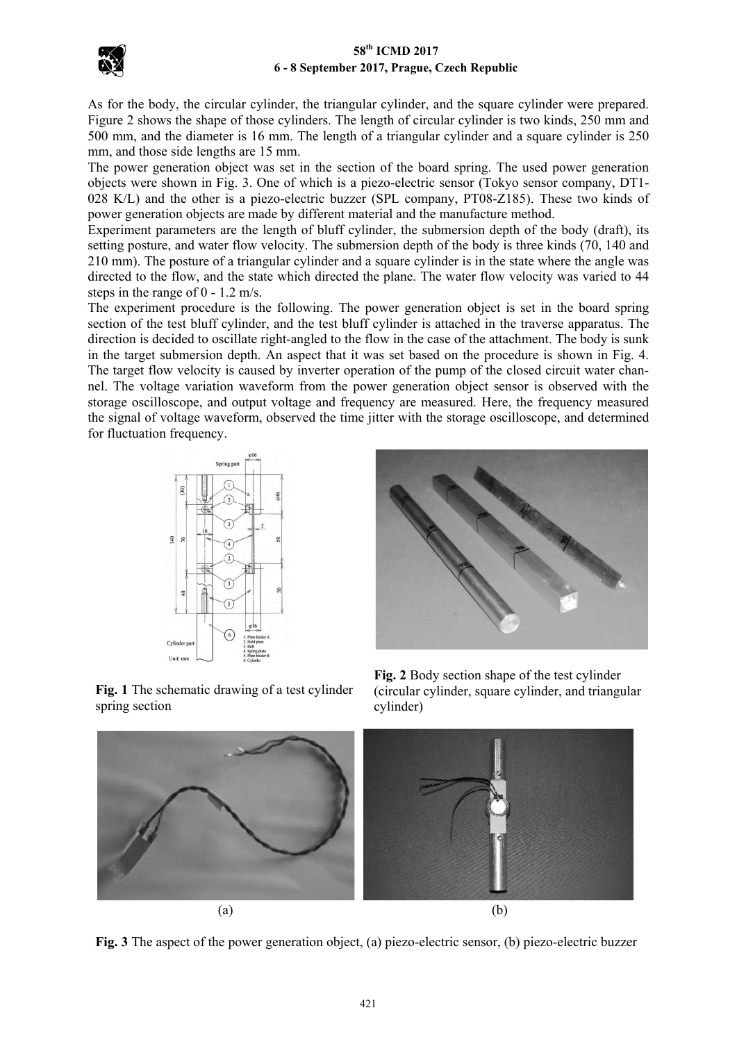### **58th ICMD 2017 6 - 8 September 2017, Prague, Czech Republic**



As for the body, the circular cylinder, the triangular cylinder, and the square cylinder were prepared. Figure 2 shows the shape of those cylinders. The length of circular cylinder is two kinds, 250 mm and 500 mm, and the diameter is 16 mm. The length of a triangular cylinder and a square cylinder is 250 mm, and those side lengths are 15 mm.

The power generation object was set in the section of the board spring. The used power generation objects were shown in Fig. 3. One of which is a piezo-electric sensor (Tokyo sensor company, DT1- 028 K/L) and the other is a piezo-electric buzzer (SPL company, PT08-Z185). These two kinds of power generation objects are made by different material and the manufacture method.

Experiment parameters are the length of bluff cylinder, the submersion depth of the body (draft), its setting posture, and water flow velocity. The submersion depth of the body is three kinds (70, 140 and 210 mm). The posture of a triangular cylinder and a square cylinder is in the state where the angle was directed to the flow, and the state which directed the plane. The water flow velocity was varied to 44 steps in the range of  $0 - 1.2$  m/s.

The experiment procedure is the following. The power generation object is set in the board spring section of the test bluff cylinder, and the test bluff cylinder is attached in the traverse apparatus. The direction is decided to oscillate right-angled to the flow in the case of the attachment. The body is sunk in the target submersion depth. An aspect that it was set based on the procedure is shown in Fig. 4. The target flow velocity is caused by inverter operation of the pump of the closed circuit water channel. The voltage variation waveform from the power generation object sensor is observed with the storage oscilloscope, and output voltage and frequency are measured. Here, the frequency measured the signal of voltage waveform, observed the time jitter with the storage oscilloscope, and determined for fluctuation frequency.





**Fig. 1** The schematic drawing of a test cylinder spring section

**Fig. 2** Body section shape of the test cylinder (circular cylinder, square cylinder, and triangular cylinder)



**Fig. 3** The aspect of the power generation object, (a) piezo-electric sensor, (b) piezo-electric buzzer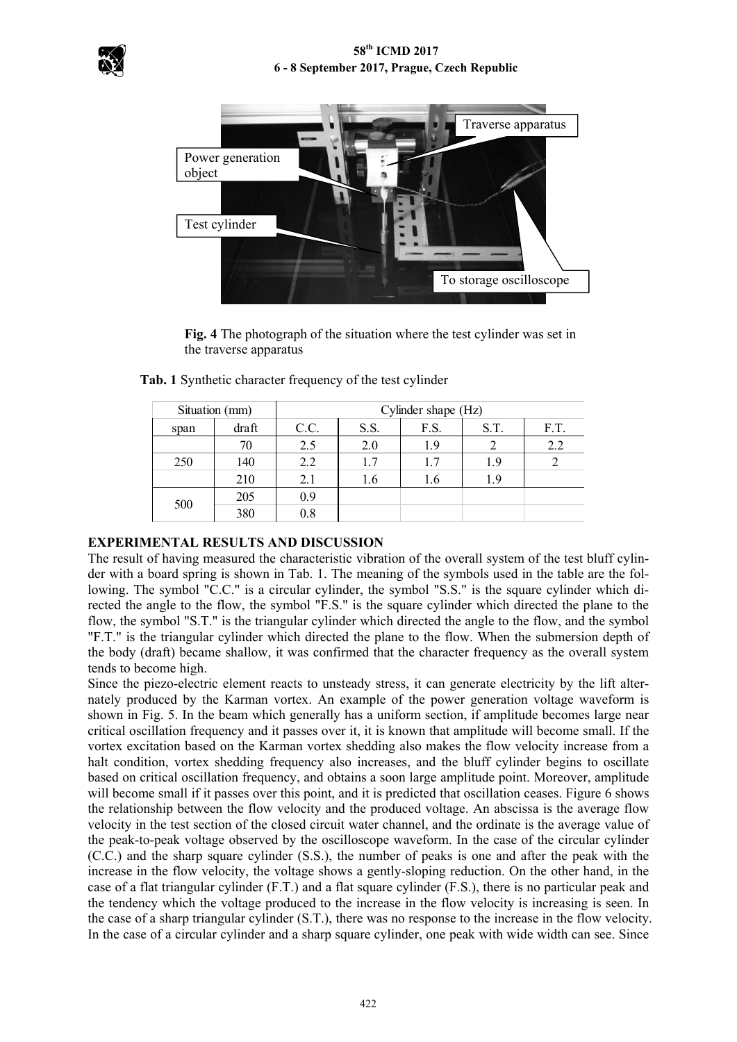



**Fig. 4** The photograph of the situation where the test cylinder was set in the traverse apparatus

| Situation (mm) |       | Cylinder shape (Hz) |      |      |      |      |
|----------------|-------|---------------------|------|------|------|------|
| span           | draft | C.C.                | S.S. | F.S. | S.T. | F.T. |
|                | 70    | 2.5                 | 2.0  | 1.9  |      | 2.2  |
| 250            | 140   | 2.2                 | 1.7  | 1.7  | 1.9  |      |
|                | 210   | 2.1                 | 1.6  | 1.6  | 1.9  |      |
| 500            | 205   | 0.9                 |      |      |      |      |
|                | 380   | 0.8                 |      |      |      |      |

**Tab. 1** Synthetic character frequency of the test cylinder

# **EXPERIMENTAL RESULTS AND DISCUSSION**

The result of having measured the characteristic vibration of the overall system of the test bluff cylinder with a board spring is shown in Tab. 1. The meaning of the symbols used in the table are the following. The symbol "C.C." is a circular cylinder, the symbol "S.S." is the square cylinder which directed the angle to the flow, the symbol "F.S." is the square cylinder which directed the plane to the flow, the symbol "S.T." is the triangular cylinder which directed the angle to the flow, and the symbol "F.T." is the triangular cylinder which directed the plane to the flow. When the submersion depth of the body (draft) became shallow, it was confirmed that the character frequency as the overall system tends to become high.

Since the piezo-electric element reacts to unsteady stress, it can generate electricity by the lift alternately produced by the Karman vortex. An example of the power generation voltage waveform is shown in Fig. 5. In the beam which generally has a uniform section, if amplitude becomes large near critical oscillation frequency and it passes over it, it is known that amplitude will become small. If the vortex excitation based on the Karman vortex shedding also makes the flow velocity increase from a halt condition, vortex shedding frequency also increases, and the bluff cylinder begins to oscillate based on critical oscillation frequency, and obtains a soon large amplitude point. Moreover, amplitude will become small if it passes over this point, and it is predicted that oscillation ceases. Figure 6 shows the relationship between the flow velocity and the produced voltage. An abscissa is the average flow velocity in the test section of the closed circuit water channel, and the ordinate is the average value of the peak-to-peak voltage observed by the oscilloscope waveform. In the case of the circular cylinder (C.C.) and the sharp square cylinder (S.S.), the number of peaks is one and after the peak with the increase in the flow velocity, the voltage shows a gently-sloping reduction. On the other hand, in the case of a flat triangular cylinder (F.T.) and a flat square cylinder (F.S.), there is no particular peak and the tendency which the voltage produced to the increase in the flow velocity is increasing is seen. In the case of a sharp triangular cylinder (S.T.), there was no response to the increase in the flow velocity. In the case of a circular cylinder and a sharp square cylinder, one peak with wide width can see. Since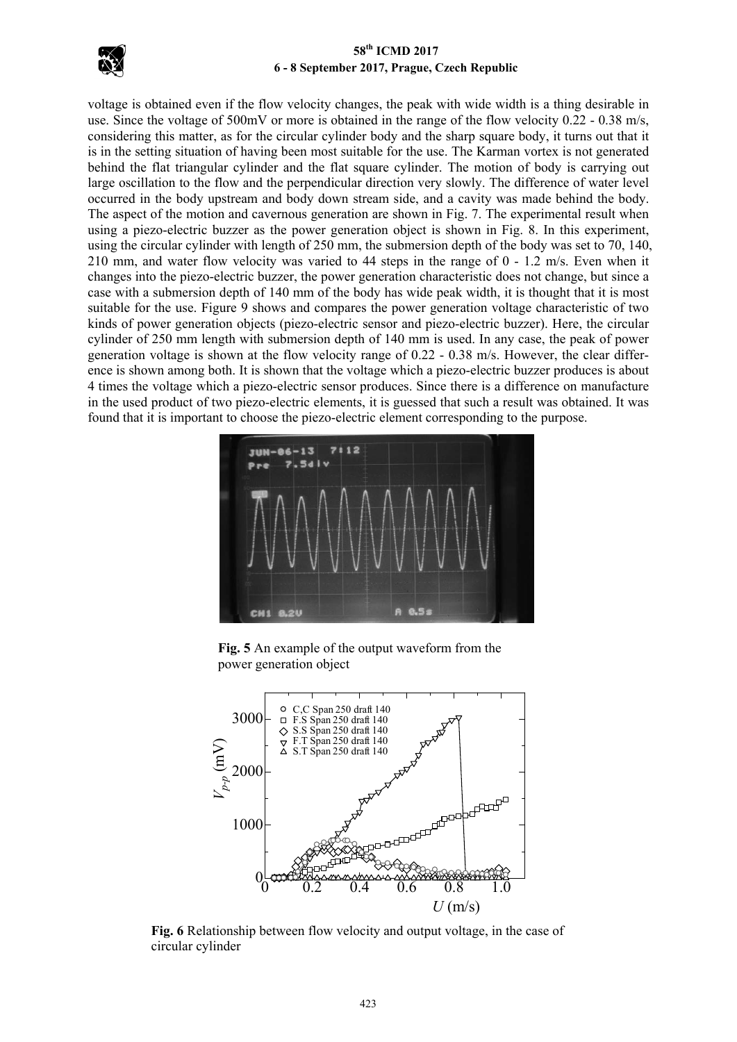

### **58th ICMD 2017 6 - 8 September 2017, Prague, Czech Republic**

voltage is obtained even if the flow velocity changes, the peak with wide width is a thing desirable in use. Since the voltage of 500mV or more is obtained in the range of the flow velocity 0.22 - 0.38 m/s, considering this matter, as for the circular cylinder body and the sharp square body, it turns out that it is in the setting situation of having been most suitable for the use. The Karman vortex is not generated behind the flat triangular cylinder and the flat square cylinder. The motion of body is carrying out large oscillation to the flow and the perpendicular direction very slowly. The difference of water level occurred in the body upstream and body down stream side, and a cavity was made behind the body. The aspect of the motion and cavernous generation are shown in Fig. 7. The experimental result when using a piezo-electric buzzer as the power generation object is shown in Fig. 8. In this experiment, using the circular cylinder with length of 250 mm, the submersion depth of the body was set to 70, 140, 210 mm, and water flow velocity was varied to 44 steps in the range of 0 - 1.2 m/s. Even when it changes into the piezo-electric buzzer, the power generation characteristic does not change, but since a case with a submersion depth of 140 mm of the body has wide peak width, it is thought that it is most suitable for the use. Figure 9 shows and compares the power generation voltage characteristic of two kinds of power generation objects (piezo-electric sensor and piezo-electric buzzer). Here, the circular cylinder of 250 mm length with submersion depth of 140 mm is used. In any case, the peak of power generation voltage is shown at the flow velocity range of 0.22 - 0.38 m/s. However, the clear difference is shown among both. It is shown that the voltage which a piezo-electric buzzer produces is about 4 times the voltage which a piezo-electric sensor produces. Since there is a difference on manufacture in the used product of two piezo-electric elements, it is guessed that such a result was obtained. It was found that it is important to choose the piezo-electric element corresponding to the purpose.



**Fig. 5** An example of the output waveform from the power generation object



**Fig. 6** Relationship between flow velocity and output voltage, in the case of circular cylinder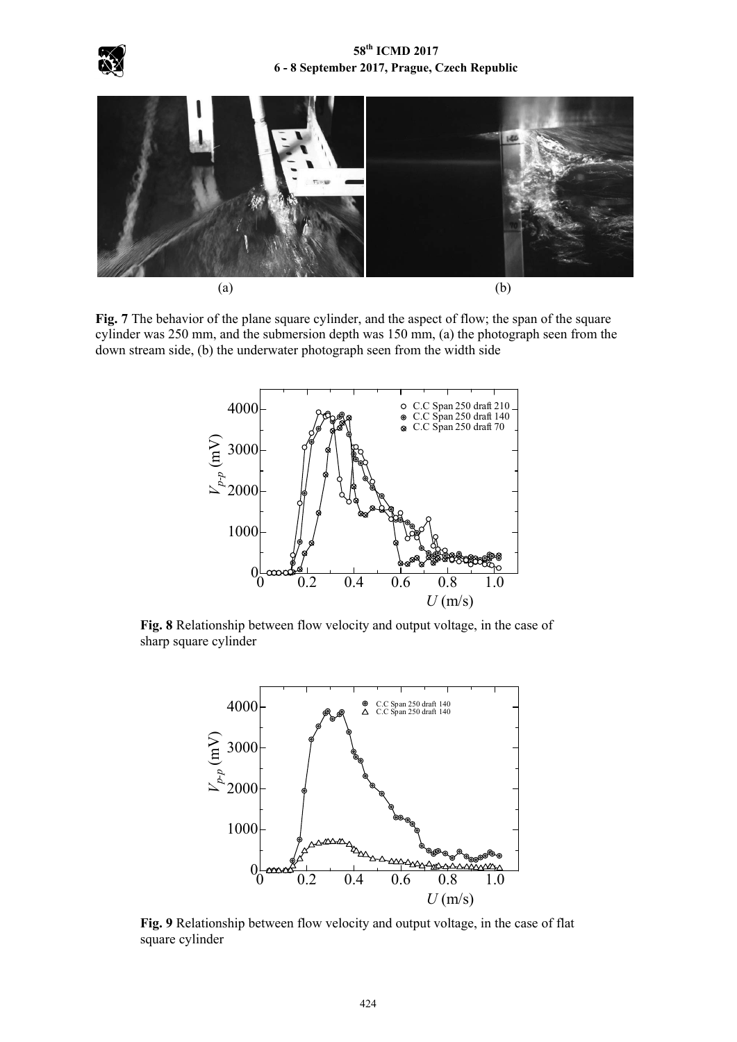



**Fig. 7** The behavior of the plane square cylinder, and the aspect of flow; the span of the square cylinder was 250 mm, and the submersion depth was 150 mm, (a) the photograph seen from the down stream side, (b) the underwater photograph seen from the width side



**Fig. 8** Relationship between flow velocity and output voltage, in the case of sharp square cylinder



**Fig. 9** Relationship between flow velocity and output voltage, in the case of flat square cylinder